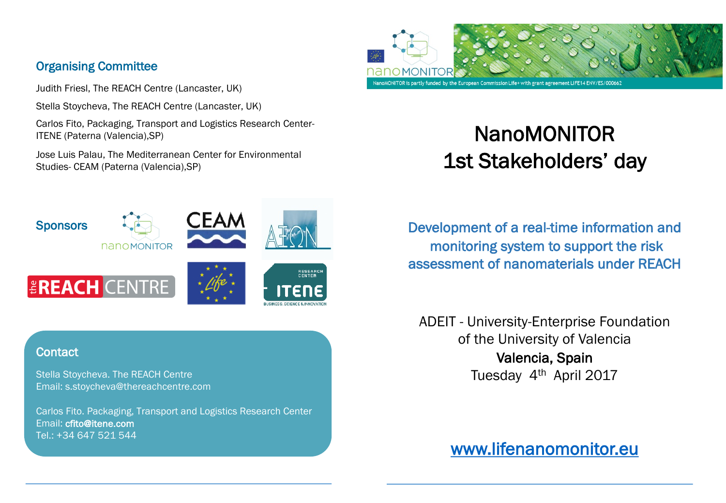## Organising Committee

Judith Friesl, The REACH Centre (Lancaster, UK)

**NANOMONITOR** 

Stella Stoycheva, The REACH Centre (Lancaster, UK)

Carlos Fito, Packaging, Transport and Logistics Research Center-ITENE (Paterna (Valencia),SP)

Jose Luis Palau, The Mediterranean Center for Environmental Studies- CEAM (Paterna (Valencia),SP)

**CEAN** 

RESEARCH<br>CENTER



# NanoMONITOR 1st Stakeholders' day

Development of a real-time information and monitoring system to support the risk assessment of nanomaterials under REACH

ADEIT - University-Enterprise Foundation of the University of Valencia Valencia, Spain Tuesday 4<sup>th</sup> April 2017

www.lifenanomonitor.eu

### **Contact**

**Sponsors** 

Stella Stoycheva. The REACH Centre Email: s.stoycheva@thereachcentre.com

**EREACH CENTRE** 

Carlos Fito. Packaging, Transport and Logistics Research Center Email: cfito@itene.com Tel.: +34 647 521 544